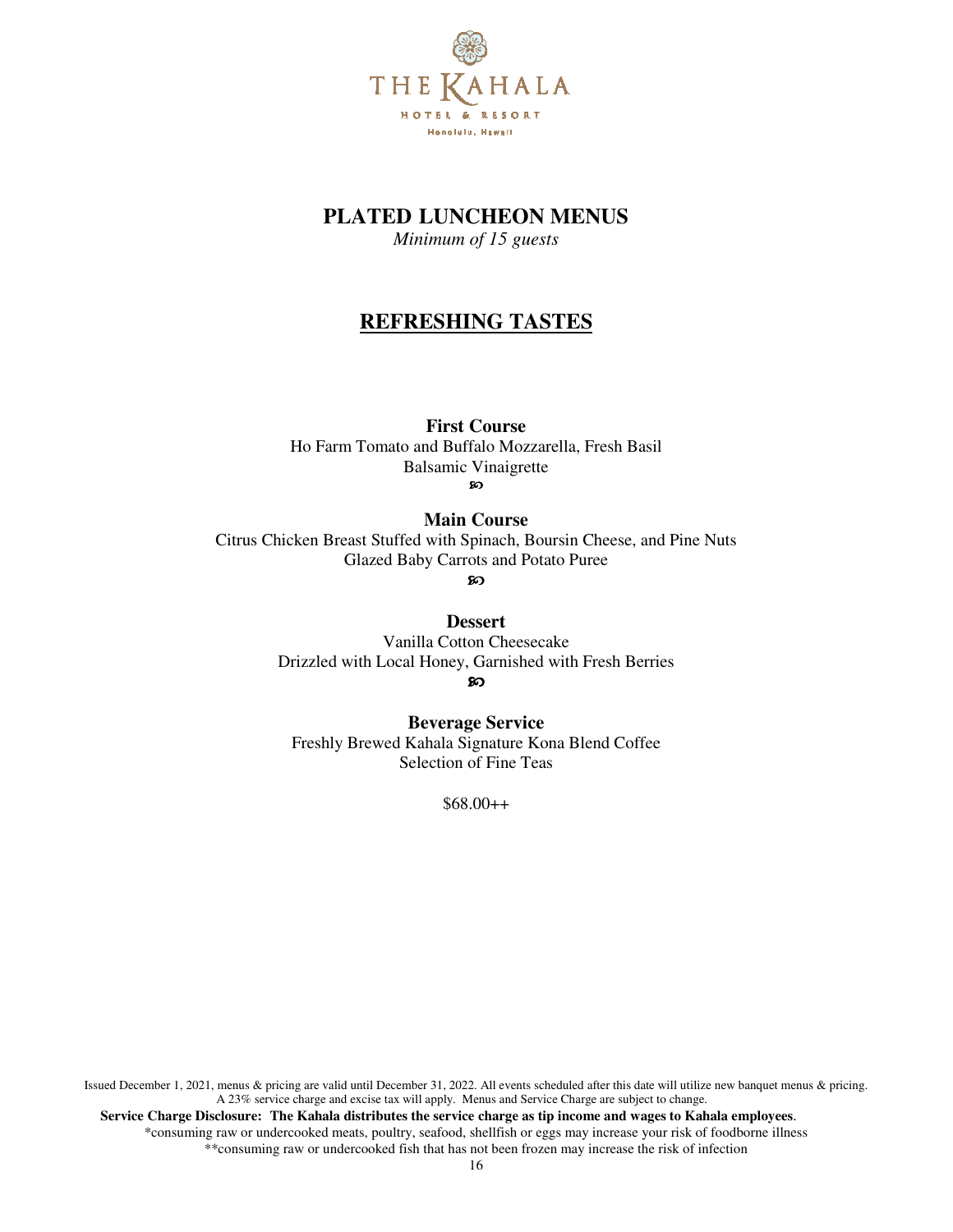

## **PLATED LUNCHEON MENUS**

*Minimum of 15 guests*

# **REFRESHING TASTES**

**First Course** 

Ho Farm Tomato and Buffalo Mozzarella, Fresh Basil Balsamic Vinaigrette

ဢ

**Main Course**  Citrus Chicken Breast Stuffed with Spinach, Boursin Cheese, and Pine Nuts Glazed Baby Carrots and Potato Puree

**Dessert**  Vanilla Cotton Cheesecake

Drizzled with Local Honey, Garnished with Fresh Berries

တ

**Beverage Service**

Freshly Brewed Kahala Signature Kona Blend Coffee Selection of Fine Teas

\$68.00++

Issued December 1, 2021, menus & pricing are valid until December 31, 2022. All events scheduled after this date will utilize new banquet menus & pricing. A 23% service charge and excise tax will apply. Menus and Service Charge are subject to change.  **Service Charge Disclosure: The Kahala distributes the service charge as tip income and wages to Kahala employees**. \*consuming raw or undercooked meats, poultry, seafood, shellfish or eggs may increase your risk of foodborne illness \*\*consuming raw or undercooked fish that has not been frozen may increase the risk of infection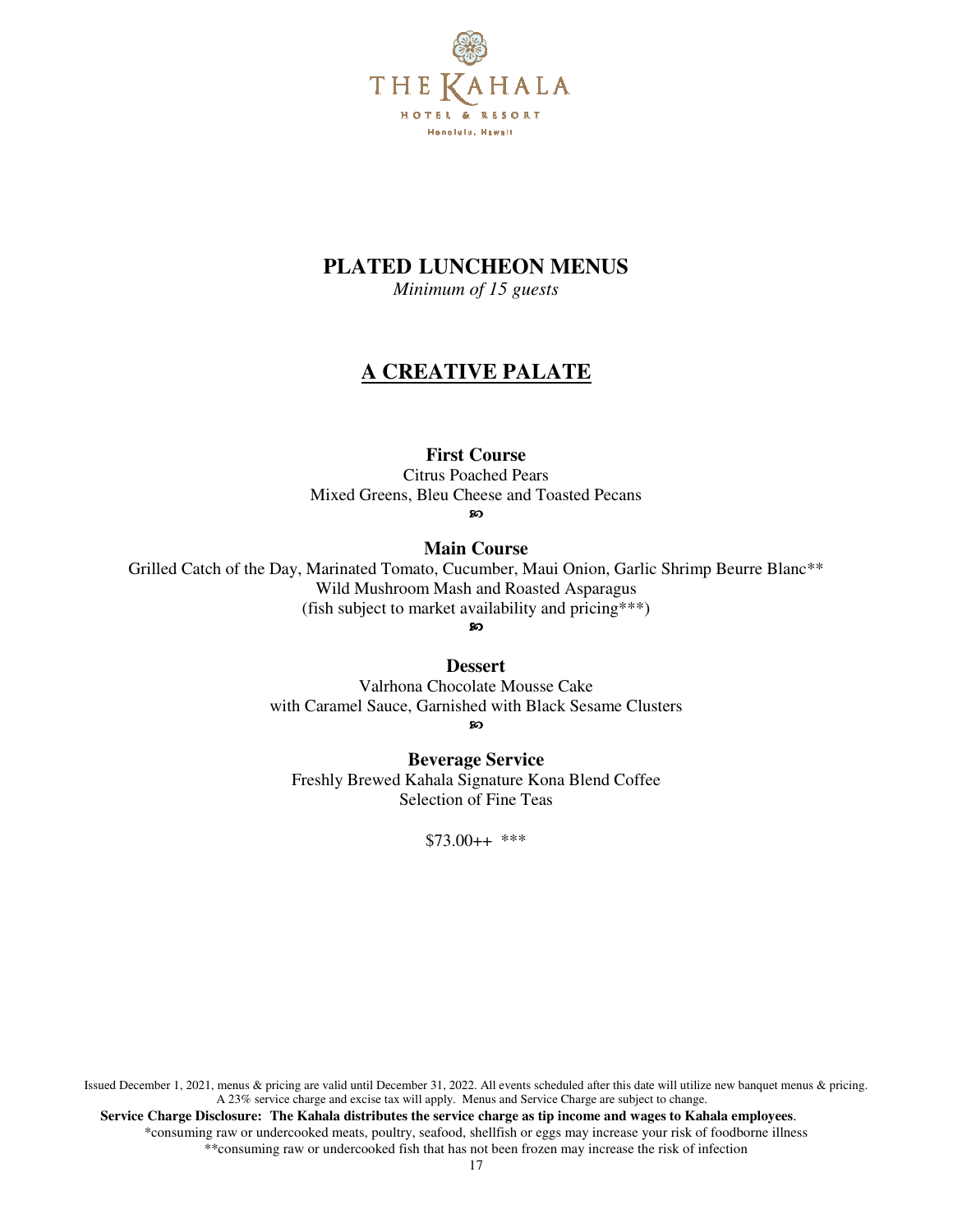

# **PLATED LUNCHEON MENUS**

*Minimum of 15 guests*

# **A CREATIVE PALATE**

### **First Course**

Citrus Poached Pears Mixed Greens, Bleu Cheese and Toasted Pecans

ၷ

**Main Course** 

Grilled Catch of the Day, Marinated Tomato, Cucumber, Maui Onion, Garlic Shrimp Beurre Blanc\*\* Wild Mushroom Mash and Roasted Asparagus (fish subject to market availability and pricing\*\*\*)

ၷ

#### **Dessert**

Valrhona Chocolate Mousse Cake with Caramel Sauce, Garnished with Black Sesame Clusters ഹ

**Beverage Service** Freshly Brewed Kahala Signature Kona Blend Coffee Selection of Fine Teas

\$73.00++ \*\*\*

Issued December 1, 2021, menus & pricing are valid until December 31, 2022. All events scheduled after this date will utilize new banquet menus & pricing. A 23% service charge and excise tax will apply. Menus and Service Charge are subject to change.  **Service Charge Disclosure: The Kahala distributes the service charge as tip income and wages to Kahala employees**.

\*consuming raw or undercooked meats, poultry, seafood, shellfish or eggs may increase your risk of foodborne illness \*\*consuming raw or undercooked fish that has not been frozen may increase the risk of infection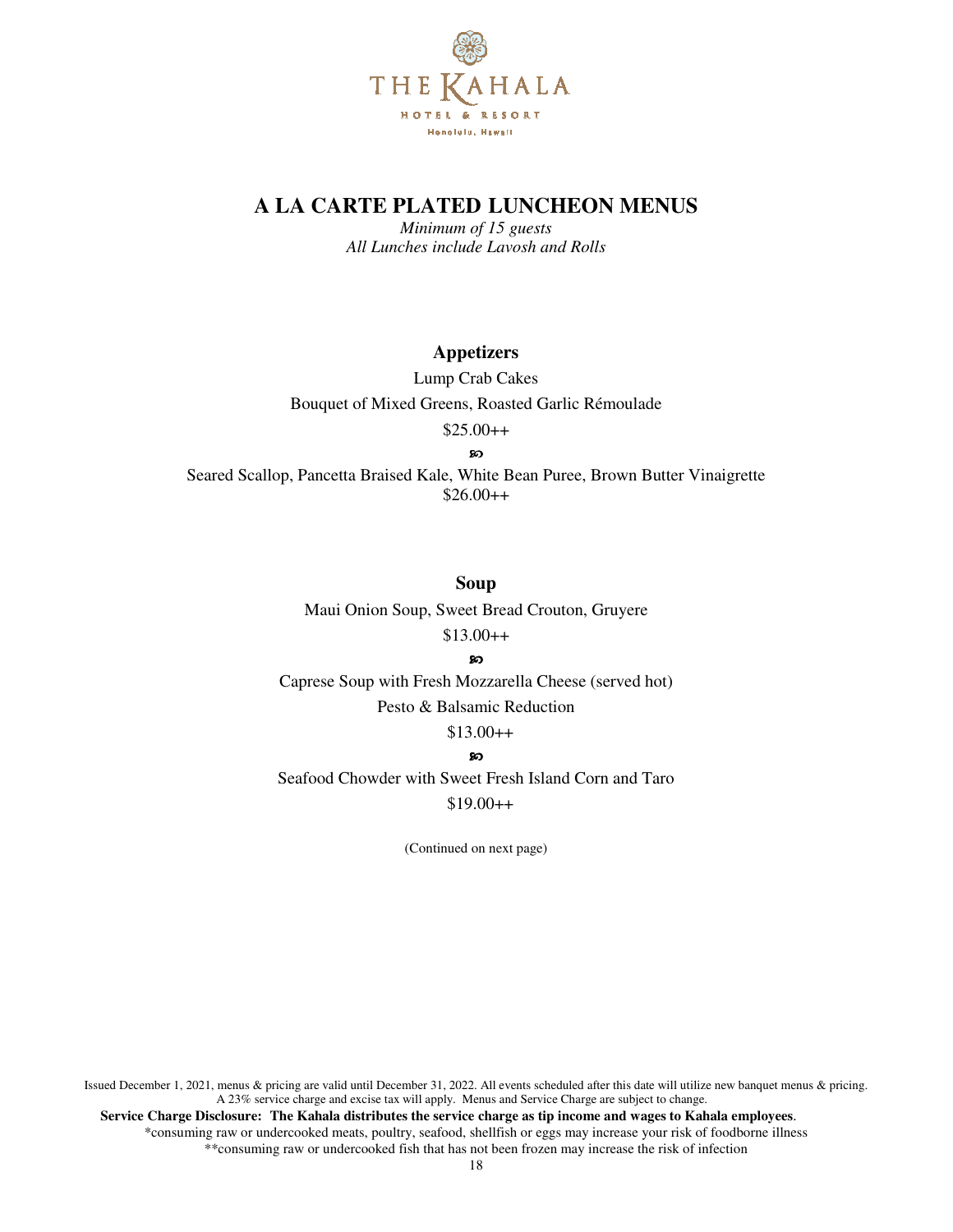

*Minimum of 15 guests All Lunches include Lavosh and Rolls*

### **Appetizers**

Lump Crab Cakes Bouquet of Mixed Greens, Roasted Garlic Rémoulade \$25.00++

ၷ

Seared Scallop, Pancetta Braised Kale, White Bean Puree, Brown Butter Vinaigrette  $$26.00++$ 

**Soup** 

Maui Onion Soup, Sweet Bread Crouton, Gruyere

 $$13.00++$ ၷ

Caprese Soup with Fresh Mozzarella Cheese (served hot) Pesto & Balsamic Reduction

 $$13.00++$ 

SO<sub>1</sub>

Seafood Chowder with Sweet Fresh Island Corn and Taro \$19.00++

(Continued on next page)

Issued December 1, 2021, menus & pricing are valid until December 31, 2022. All events scheduled after this date will utilize new banquet menus & pricing. A 23% service charge and excise tax will apply. Menus and Service Charge are subject to change.  **Service Charge Disclosure: The Kahala distributes the service charge as tip income and wages to Kahala employees**. \*consuming raw or undercooked meats, poultry, seafood, shellfish or eggs may increase your risk of foodborne illness \*\*consuming raw or undercooked fish that has not been frozen may increase the risk of infection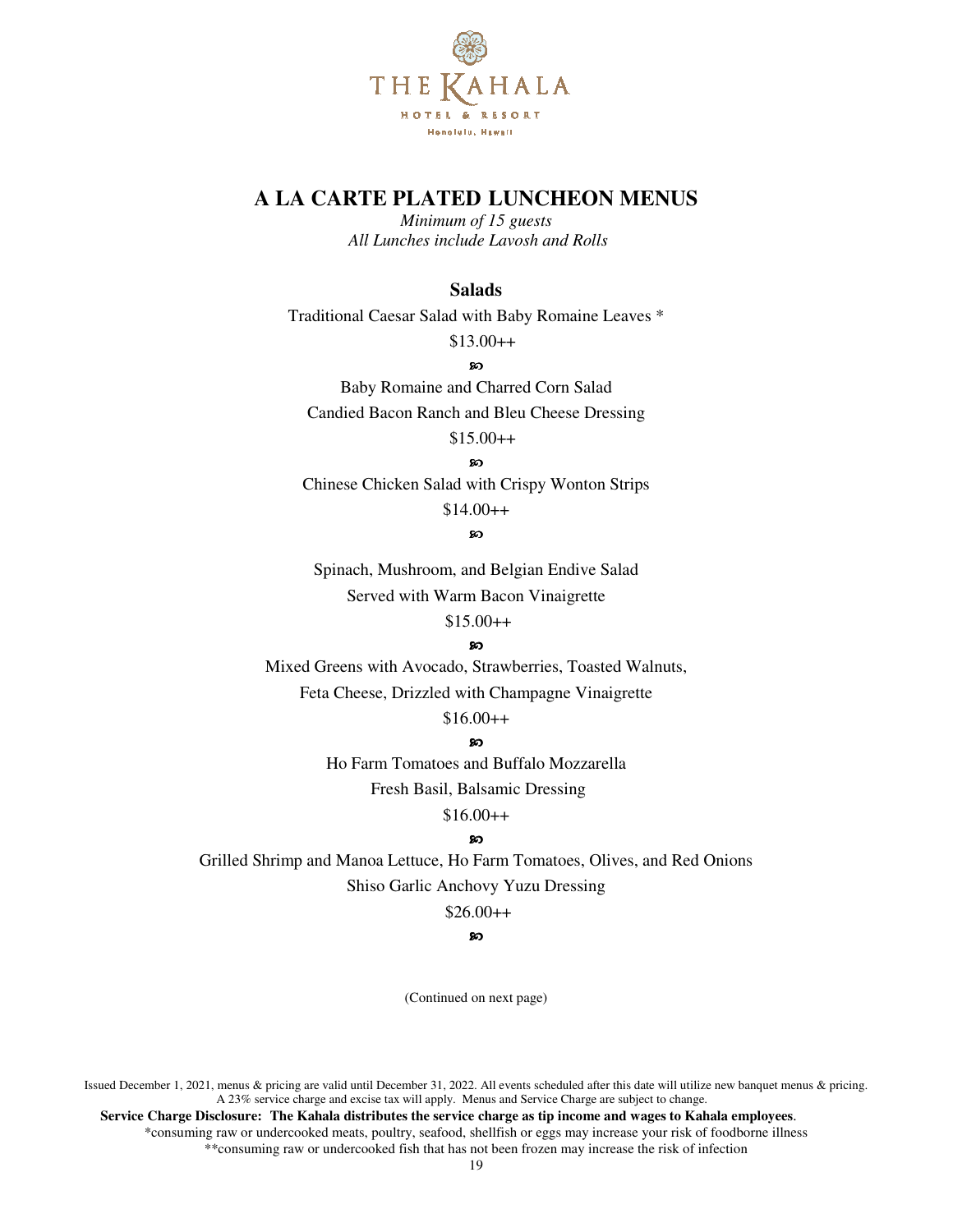

*Minimum of 15 guests All Lunches include Lavosh and Rolls*

### **Salads**

Traditional Caesar Salad with Baby Romaine Leaves \*

\$13.00++

**co** 

Baby Romaine and Charred Corn Salad Candied Bacon Ranch and Bleu Cheese Dressing

 $$15.00++$ 

 $\infty$ 

Chinese Chicken Salad with Crispy Wonton Strips

 $$14.00++$ 

#### ာ

Spinach, Mushroom, and Belgian Endive Salad Served with Warm Bacon Vinaigrette  $$15.00++$ 

ၷ

Mixed Greens with Avocado, Strawberries, Toasted Walnuts, Feta Cheese, Drizzled with Champagne Vinaigrette

### $$16.00++$

#### $\infty$

Ho Farm Tomatoes and Buffalo Mozzarella

Fresh Basil, Balsamic Dressing

 $$16.00++$ 

### ၷ

Grilled Shrimp and Manoa Lettuce, Ho Farm Tomatoes, Olives, and Red Onions Shiso Garlic Anchovy Yuzu Dressing

#### $$26.00++$

#### **so**

(Continued on next page)

Issued December 1, 2021, menus & pricing are valid until December 31, 2022. All events scheduled after this date will utilize new banquet menus & pricing. A 23% service charge and excise tax will apply. Menus and Service Charge are subject to change.

 **Service Charge Disclosure: The Kahala distributes the service charge as tip income and wages to Kahala employees**. \*consuming raw or undercooked meats, poultry, seafood, shellfish or eggs may increase your risk of foodborne illness \*\*consuming raw or undercooked fish that has not been frozen may increase the risk of infection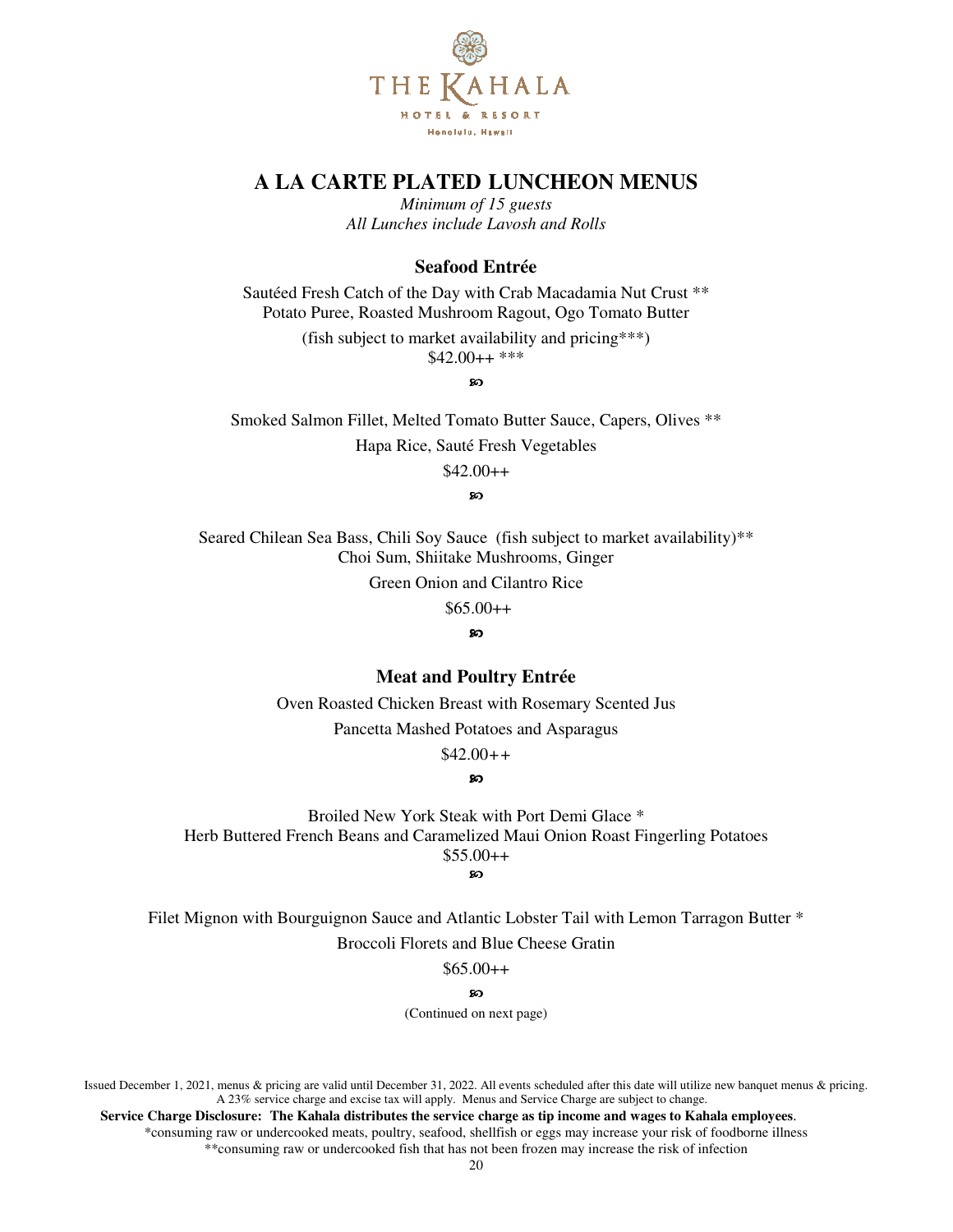

*Minimum of 15 guests All Lunches include Lavosh and Rolls* 

### **Seafood Entrée**

Sautéed Fresh Catch of the Day with Crab Macadamia Nut Crust \*\* Potato Puree, Roasted Mushroom Ragout, Ogo Tomato Butter

> (fish subject to market availability and pricing\*\*\*)  $$42.00++$ \*\*\*

> > ഩ

Smoked Salmon Fillet, Melted Tomato Butter Sauce, Capers, Olives \*\* Hapa Rice, Sauté Fresh Vegetables

 $$42.00++$ 

**en** 

Seared Chilean Sea Bass, Chili Soy Sauce (fish subject to market availability)\*\* Choi Sum, Shiitake Mushrooms, Ginger

Green Onion and Cilantro Rice

 $$65.00++$ 

ၷ

### **Meat and Poultry Entrée**

Oven Roasted Chicken Breast with Rosemary Scented Jus

Pancetta Mashed Potatoes and Asparagus

\$42.00*++* 

 $\infty$ 

Broiled New York Steak with Port Demi Glace \* Herb Buttered French Beans and Caramelized Maui Onion Roast Fingerling Potatoes  $$55.00++$ 

ဢ

Filet Mignon with Bourguignon Sauce and Atlantic Lobster Tail with Lemon Tarragon Butter \*

Broccoli Florets and Blue Cheese Gratin

 $$65.00++$ 

ഩ

(Continued on next page)

Issued December 1, 2021, menus & pricing are valid until December 31, 2022. All events scheduled after this date will utilize new banquet menus & pricing. A 23% service charge and excise tax will apply. Menus and Service Charge are subject to change.

 **Service Charge Disclosure: The Kahala distributes the service charge as tip income and wages to Kahala employees**. \*consuming raw or undercooked meats, poultry, seafood, shellfish or eggs may increase your risk of foodborne illness \*\*consuming raw or undercooked fish that has not been frozen may increase the risk of infection